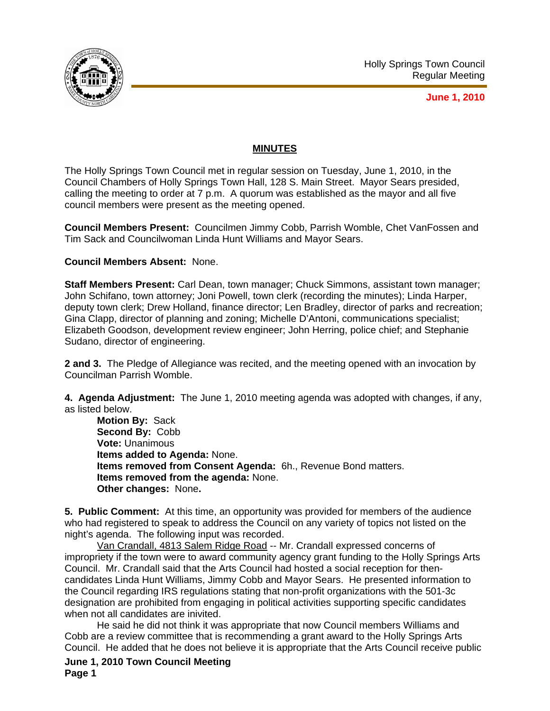

**June 1, 2010**

## **MINUTES**

The Holly Springs Town Council met in regular session on Tuesday, June 1, 2010, in the Council Chambers of Holly Springs Town Hall, 128 S. Main Street. Mayor Sears presided, calling the meeting to order at 7 p.m. A quorum was established as the mayor and all five council members were present as the meeting opened.

**Council Members Present:** Councilmen Jimmy Cobb, Parrish Womble, Chet VanFossen and Tim Sack and Councilwoman Linda Hunt Williams and Mayor Sears.

## **Council Members Absent:** None.

**Staff Members Present:** Carl Dean, town manager; Chuck Simmons, assistant town manager; John Schifano, town attorney; Joni Powell, town clerk (recording the minutes); Linda Harper, deputy town clerk; Drew Holland, finance director; Len Bradley, director of parks and recreation; Gina Clapp, director of planning and zoning; Michelle D'Antoni, communications specialist; Elizabeth Goodson, development review engineer; John Herring, police chief; and Stephanie Sudano, director of engineering.

**2 and 3.** The Pledge of Allegiance was recited, and the meeting opened with an invocation by Councilman Parrish Womble.

**4. Agenda Adjustment:** The June 1, 2010 meeting agenda was adopted with changes, if any, as listed below.

**Motion By:** Sack **Second By:** Cobb **Vote:** Unanimous **Items added to Agenda:** None. **Items removed from Consent Agenda:** 6h., Revenue Bond matters. **Items removed from the agenda:** None. **Other changes:** None**.** 

**5. Public Comment:** At this time, an opportunity was provided for members of the audience who had registered to speak to address the Council on any variety of topics not listed on the night's agenda. The following input was recorded.

 Van Crandall, 4813 Salem Ridge Road -- Mr. Crandall expressed concerns of impropriety if the town were to award community agency grant funding to the Holly Springs Arts Council. Mr. Crandall said that the Arts Council had hosted a social reception for thencandidates Linda Hunt Williams, Jimmy Cobb and Mayor Sears. He presented information to the Council regarding IRS regulations stating that non-profit organizations with the 501-3c designation are prohibited from engaging in political activities supporting specific candidates when not all candidates are inivited.

He said he did not think it was appropriate that now Council members Williams and Cobb are a review committee that is recommending a grant award to the Holly Springs Arts Council. He added that he does not believe it is appropriate that the Arts Council receive public

**June 1, 2010 Town Council Meeting Page 1**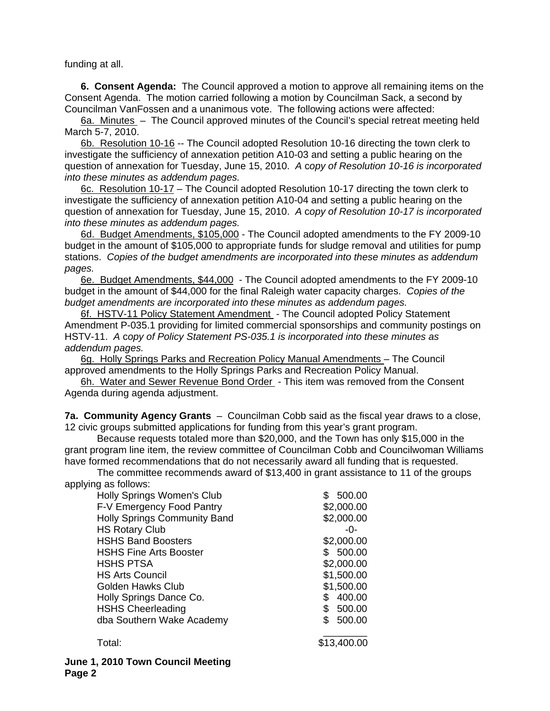funding at all.

**6. Consent Agenda:** The Council approved a motion to approve all remaining items on the Consent Agenda. The motion carried following a motion by Councilman Sack, a second by Councilman VanFossen and a unanimous vote. The following actions were affected:

6a. Minutes – The Council approved minutes of the Council's special retreat meeting held March 5-7, 2010.

6b. Resolution 10-16 -- The Council adopted Resolution 10-16 directing the town clerk to investigate the sufficiency of annexation petition A10-03 and setting a public hearing on the question of annexation for Tuesday, June 15, 2010.*A* c*opy of Resolution 10-16 is incorporated into these minutes as addendum pages.*

6c. Resolution 10-17 – The Council adopted Resolution 10-17 directing the town clerk to investigate the sufficiency of annexation petition A10-04 and setting a public hearing on the question of annexation for Tuesday, June 15, 2010. *A* c*opy of Resolution 10-17 is incorporated into these minutes as addendum pages.*

6d. Budget Amendments, \$105,000 - The Council adopted amendments to the FY 2009-10 budget in the amount of \$105,000 to appropriate funds for sludge removal and utilities for pump stations.*Copies of the budget amendments are incorporated into these minutes as addendum pages.*

6e. Budget Amendments, \$44,000 - The Council adopted amendments to the FY 2009-10 budget in the amount of \$44,000 for the final Raleigh water capacity charges.*Copies of the budget amendments are incorporated into these minutes as addendum pages.*

6f. HSTV-11 Policy Statement Amendment - The Council adopted Policy Statement Amendment P-035.1 providing for limited commercial sponsorships and community postings on HSTV-11. *A* c*opy of Policy Statement PS-035.1 is incorporated into these minutes as addendum pages.*

6g. Holly Springs Parks and Recreation Policy Manual Amendments – The Council approved amendments to the Holly Springs Parks and Recreation Policy Manual.

6h. Water and Sewer Revenue Bond Order - This item was removed from the Consent Agenda during agenda adjustment.

**7a. Community Agency Grants** – Councilman Cobb said as the fiscal year draws to a close, 12 civic groups submitted applications for funding from this year's grant program.

 Because requests totaled more than \$20,000, and the Town has only \$15,000 in the grant program line item, the review committee of Councilman Cobb and Councilwoman Williams have formed recommendations that do not necessarily award all funding that is requested.

The committee recommends award of \$13,400 in grant assistance to 11 of the groups applying as follows:

| Holly Springs Women's Club    | 500.00        |
|-------------------------------|---------------|
| F-V Emergency Food Pantry     | \$2,000.00    |
| Holly Springs Community Band  | \$2,000.00    |
| <b>HS Rotary Club</b>         | -0-           |
| <b>HSHS Band Boosters</b>     | \$2,000.00    |
| <b>HSHS Fine Arts Booster</b> | \$500.00      |
| <b>HSHS PTSA</b>              | \$2,000.00    |
| <b>HS Arts Council</b>        | \$1,500.00    |
| <b>Golden Hawks Club</b>      | \$1,500.00    |
| Holly Springs Dance Co.       | 400.00        |
| <b>HSHS Cheerleading</b>      | 500.00<br>\$  |
| dba Southern Wake Academy     | 500.00<br>\$. |
|                               |               |

Total: \$13,400.00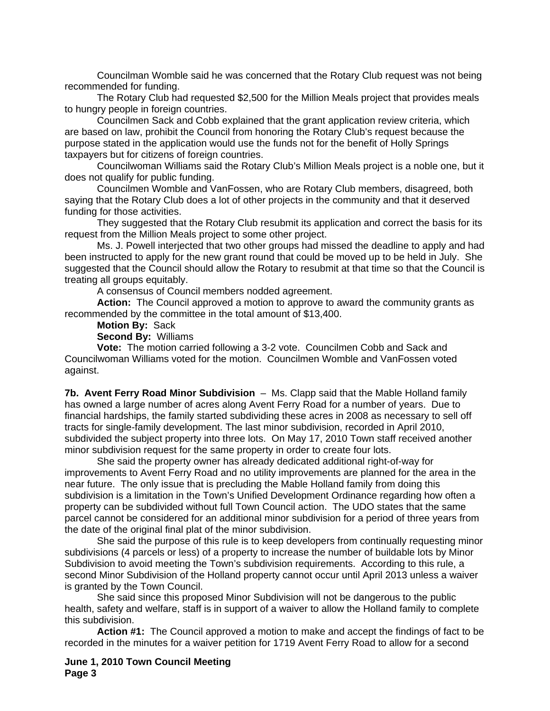Councilman Womble said he was concerned that the Rotary Club request was not being recommended for funding.

 The Rotary Club had requested \$2,500 for the Million Meals project that provides meals to hungry people in foreign countries.

 Councilmen Sack and Cobb explained that the grant application review criteria, which are based on law, prohibit the Council from honoring the Rotary Club's request because the purpose stated in the application would use the funds not for the benefit of Holly Springs taxpayers but for citizens of foreign countries.

 Councilwoman Williams said the Rotary Club's Million Meals project is a noble one, but it does not qualify for public funding.

 Councilmen Womble and VanFossen, who are Rotary Club members, disagreed, both saying that the Rotary Club does a lot of other projects in the community and that it deserved funding for those activities.

 They suggested that the Rotary Club resubmit its application and correct the basis for its request from the Million Meals project to some other project.

 Ms. J. Powell interjected that two other groups had missed the deadline to apply and had been instructed to apply for the new grant round that could be moved up to be held in July. She suggested that the Council should allow the Rotary to resubmit at that time so that the Council is treating all groups equitably.

A consensus of Council members nodded agreement.

**Action:** The Council approved a motion to approve to award the community grants as recommended by the committee in the total amount of \$13,400.

**Motion By:** Sack

**Second By:** Williams

**Vote:** The motion carried following a 3-2 vote. Councilmen Cobb and Sack and Councilwoman Williams voted for the motion. Councilmen Womble and VanFossen voted against.

**7b. Avent Ferry Road Minor Subdivision** – Ms. Clapp said that the Mable Holland family has owned a large number of acres along Avent Ferry Road for a number of years. Due to financial hardships, the family started subdividing these acres in 2008 as necessary to sell off tracts for single-family development. The last minor subdivision, recorded in April 2010, subdivided the subject property into three lots. On May 17, 2010 Town staff received another minor subdivision request for the same property in order to create four lots.

She said the property owner has already dedicated additional right-of-way for improvements to Avent Ferry Road and no utility improvements are planned for the area in the near future. The only issue that is precluding the Mable Holland family from doing this subdivision is a limitation in the Town's Unified Development Ordinance regarding how often a property can be subdivided without full Town Council action. The UDO states that the same parcel cannot be considered for an additional minor subdivision for a period of three years from the date of the original final plat of the minor subdivision.

 She said the purpose of this rule is to keep developers from continually requesting minor subdivisions (4 parcels or less) of a property to increase the number of buildable lots by Minor Subdivision to avoid meeting the Town's subdivision requirements. According to this rule, a second Minor Subdivision of the Holland property cannot occur until April 2013 unless a waiver is granted by the Town Council.

She said since this proposed Minor Subdivision will not be dangerous to the public health, safety and welfare, staff is in support of a waiver to allow the Holland family to complete this subdivision.

**Action #1:** The Council approved a motion to make and accept the findings of fact to be recorded in the minutes for a waiver petition for 1719 Avent Ferry Road to allow for a second

**June 1, 2010 Town Council Meeting Page 3**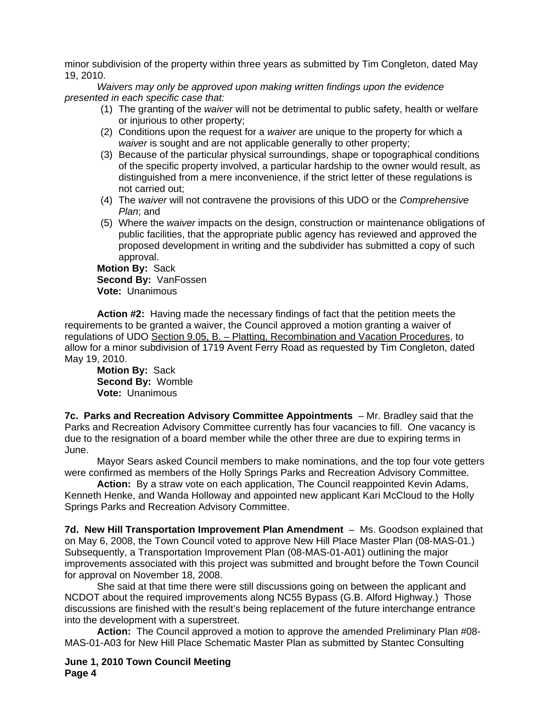minor subdivision of the property within three years as submitted by Tim Congleton, dated May 19, 2010.

*Waivers may only be approved upon making written findings upon the evidence presented in each specific case that:* 

- (1) The granting of the *waiver* will not be detrimental to public safety, health or welfare or injurious to other property;
- (2) Conditions upon the request for a *waiver* are unique to the property for which a *waiver* is sought and are not applicable generally to other property;
- (3) Because of the particular physical surroundings, shape or topographical conditions of the specific property involved, a particular hardship to the owner would result, as distinguished from a mere inconvenience, if the strict letter of these regulations is not carried out;
- (4) The *waiver* will not contravene the provisions of this UDO or the *Comprehensive Plan*; and
- (5) Where the *waiver* impacts on the design, construction or maintenance obligations of public facilities, that the appropriate public agency has reviewed and approved the proposed development in writing and the subdivider has submitted a copy of such approval.

**Motion By:** Sack **Second By:** VanFossen **Vote:** Unanimous

**Action #2:** Having made the necessary findings of fact that the petition meets the requirements to be granted a waiver, the Council approved a motion granting a waiver of regulations of UDO Section 9.05, B. – Platting, Recombination and Vacation Procedures, to allow for a minor subdivision of 1719 Avent Ferry Road as requested by Tim Congleton, dated May 19, 2010.

**Motion By:** Sack **Second By:** Womble **Vote:** Unanimous

**7c. Parks and Recreation Advisory Committee Appointments** – Mr. Bradley said that the Parks and Recreation Advisory Committee currently has four vacancies to fill. One vacancy is due to the resignation of a board member while the other three are due to expiring terms in June.

Mayor Sears asked Council members to make nominations, and the top four vote getters were confirmed as members of the Holly Springs Parks and Recreation Advisory Committee.

**Action:** By a straw vote on each application, The Council reappointed Kevin Adams, Kenneth Henke, and Wanda Holloway and appointed new applicant Kari McCloud to the Holly Springs Parks and Recreation Advisory Committee.

**7d. New Hill Transportation Improvement Plan Amendment** – Ms. Goodson explained that on May 6, 2008, the Town Council voted to approve New Hill Place Master Plan (08-MAS-01.) Subsequently, a Transportation Improvement Plan (08-MAS-01-A01) outlining the major improvements associated with this project was submitted and brought before the Town Council for approval on November 18, 2008.

 She said at that time there were still discussions going on between the applicant and NCDOT about the required improvements along NC55 Bypass (G.B. Alford Highway.) Those discussions are finished with the result's being replacement of the future interchange entrance into the development with a superstreet.

**Action:** The Council approved a motion to approve the amended Preliminary Plan #08- MAS-01-A03 for New Hill Place Schematic Master Plan as submitted by Stantec Consulting

**June 1, 2010 Town Council Meeting Page 4**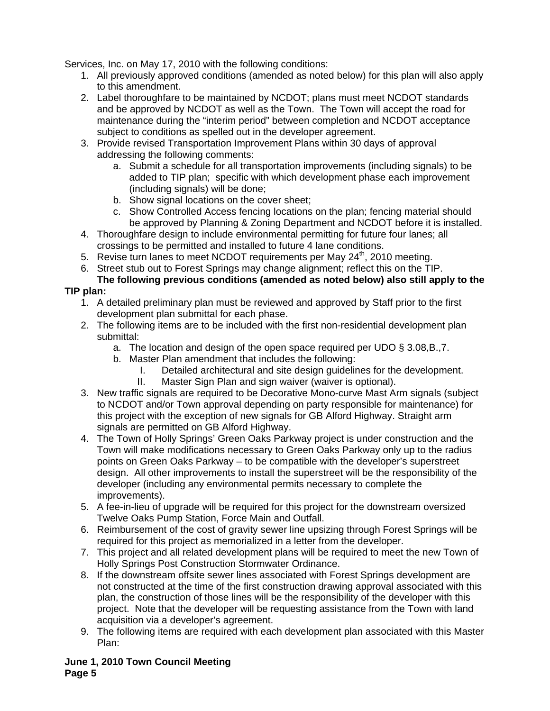Services, Inc. on May 17, 2010 with the following conditions:

- 1. All previously approved conditions (amended as noted below) for this plan will also apply to this amendment.
- 2. Label thoroughfare to be maintained by NCDOT; plans must meet NCDOT standards and be approved by NCDOT as well as the Town. The Town will accept the road for maintenance during the "interim period" between completion and NCDOT acceptance subject to conditions as spelled out in the developer agreement.
- 3. Provide revised Transportation Improvement Plans within 30 days of approval addressing the following comments:
	- a. Submit a schedule for all transportation improvements (including signals) to be added to TIP plan; specific with which development phase each improvement (including signals) will be done;
	- b. Show signal locations on the cover sheet;
	- c. Show Controlled Access fencing locations on the plan; fencing material should be approved by Planning & Zoning Department and NCDOT before it is installed.
- 4. Thoroughfare design to include environmental permitting for future four lanes; all crossings to be permitted and installed to future 4 lane conditions.
- 5. Revise turn lanes to meet NCDOT requirements per May 24<sup>th</sup>, 2010 meeting.
- 6. Street stub out to Forest Springs may change alignment; reflect this on the TIP.

## **The following previous conditions (amended as noted below) also still apply to the TIP plan:**

- 1. A detailed preliminary plan must be reviewed and approved by Staff prior to the first development plan submittal for each phase.
- 2. The following items are to be included with the first non-residential development plan submittal:
	- a. The location and design of the open space required per UDO § 3.08,B.,7.
	- b. Master Plan amendment that includes the following:
		- I. Detailed architectural and site design guidelines for the development.
		- II. Master Sign Plan and sign waiver (waiver is optional).
- 3. New traffic signals are required to be Decorative Mono-curve Mast Arm signals (subject to NCDOT and/or Town approval depending on party responsible for maintenance) for this project with the exception of new signals for GB Alford Highway. Straight arm signals are permitted on GB Alford Highway.
- 4. The Town of Holly Springs' Green Oaks Parkway project is under construction and the Town will make modifications necessary to Green Oaks Parkway only up to the radius points on Green Oaks Parkway – to be compatible with the developer's superstreet design. All other improvements to install the superstreet will be the responsibility of the developer (including any environmental permits necessary to complete the improvements).
- 5. A fee-in-lieu of upgrade will be required for this project for the downstream oversized Twelve Oaks Pump Station, Force Main and Outfall.
- 6. Reimbursement of the cost of gravity sewer line upsizing through Forest Springs will be required for this project as memorialized in a letter from the developer.
- 7. This project and all related development plans will be required to meet the new Town of Holly Springs Post Construction Stormwater Ordinance.
- 8. If the downstream offsite sewer lines associated with Forest Springs development are not constructed at the time of the first construction drawing approval associated with this plan, the construction of those lines will be the responsibility of the developer with this project. Note that the developer will be requesting assistance from the Town with land acquisition via a developer's agreement.
- 9. The following items are required with each development plan associated with this Master Plan:

**June 1, 2010 Town Council Meeting Page 5**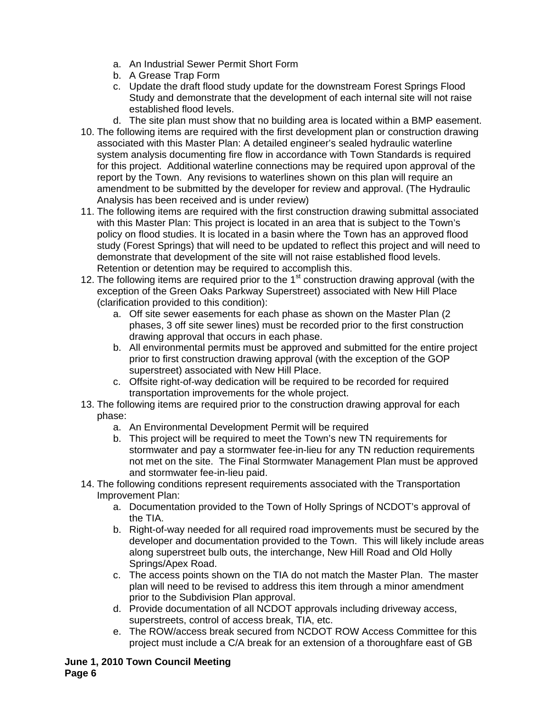- a. An Industrial Sewer Permit Short Form
- b. A Grease Trap Form
- c. Update the draft flood study update for the downstream Forest Springs Flood Study and demonstrate that the development of each internal site will not raise established flood levels.
- d. The site plan must show that no building area is located within a BMP easement.
- 10. The following items are required with the first development plan or construction drawing associated with this Master Plan: A detailed engineer's sealed hydraulic waterline system analysis documenting fire flow in accordance with Town Standards is required for this project. Additional waterline connections may be required upon approval of the report by the Town. Any revisions to waterlines shown on this plan will require an amendment to be submitted by the developer for review and approval. (The Hydraulic Analysis has been received and is under review)
- 11. The following items are required with the first construction drawing submittal associated with this Master Plan: This project is located in an area that is subject to the Town's policy on flood studies. It is located in a basin where the Town has an approved flood study (Forest Springs) that will need to be updated to reflect this project and will need to demonstrate that development of the site will not raise established flood levels. Retention or detention may be required to accomplish this.
- 12. The following items are required prior to the  $1<sup>st</sup>$  construction drawing approval (with the exception of the Green Oaks Parkway Superstreet) associated with New Hill Place (clarification provided to this condition):
	- a. Off site sewer easements for each phase as shown on the Master Plan (2 phases, 3 off site sewer lines) must be recorded prior to the first construction drawing approval that occurs in each phase.
	- b. All environmental permits must be approved and submitted for the entire project prior to first construction drawing approval (with the exception of the GOP superstreet) associated with New Hill Place.
	- c. Offsite right-of-way dedication will be required to be recorded for required transportation improvements for the whole project.
- 13. The following items are required prior to the construction drawing approval for each phase:
	- a. An Environmental Development Permit will be required
	- b. This project will be required to meet the Town's new TN requirements for stormwater and pay a stormwater fee-in-lieu for any TN reduction requirements not met on the site. The Final Stormwater Management Plan must be approved and stormwater fee-in-lieu paid.
- 14. The following conditions represent requirements associated with the Transportation Improvement Plan:
	- a. Documentation provided to the Town of Holly Springs of NCDOT's approval of the TIA.
	- b. Right-of-way needed for all required road improvements must be secured by the developer and documentation provided to the Town. This will likely include areas along superstreet bulb outs, the interchange, New Hill Road and Old Holly Springs/Apex Road.
	- c. The access points shown on the TIA do not match the Master Plan. The master plan will need to be revised to address this item through a minor amendment prior to the Subdivision Plan approval.
	- d. Provide documentation of all NCDOT approvals including driveway access, superstreets, control of access break, TIA, etc.
	- e. The ROW/access break secured from NCDOT ROW Access Committee for this project must include a C/A break for an extension of a thoroughfare east of GB